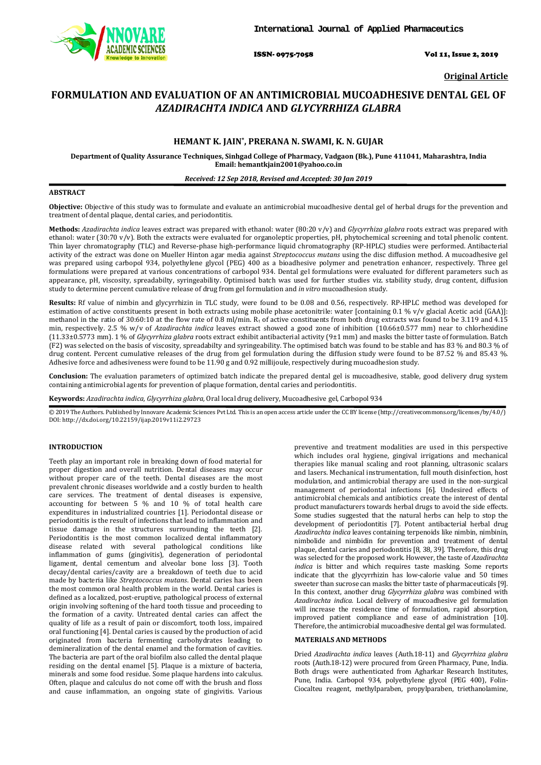

ISSN- 0975-7058 Vol 11, Issue 2, 2019

**Original Article**

# **FORMULATION AND EVALUATION OF AN ANTIMICROBIAL MUCOADHESIVE DENTAL GEL OF**  *AZADIRACHTA INDICA* **AND** *GLYCYRRHIZA GLABRA*

# **HEMANT K. JAIN\* , PRERANA N. SWAMI, K. N. GUJAR**

**Department of Quality Assurance Techniques, Sinhgad College of Pharmacy, Vadgaon (Bk.), Pune 411041, Maharashtra, India Email: hemantkjain2001@yahoo.co.in**

# *Received: 12 Sep 2018, Revised and Accepted: 30 Jan 2019*

# **ABSTRACT**

**Objective:** Objective of this study was to formulate and evaluate an antimicrobial mucoadhesive dental gel of herbal drugs for the prevention and treatment of dental plaque, dental caries, and periodontitis.

**Methods:** *Azadirachta indica* leaves extract was prepared with ethanol: water (80:20 v/v) and *Glycyrrhiza glabra* roots extract was prepared with ethanol: water (30:70 v/v). Both the extracts were evaluated for organoleptic properties, pH, phytochemical screening and total phenolic content. Thin layer chromatography (TLC) and Reverse-phase high-performance liquid chromatography (RP-HPLC) studies were performed. Antibacterial activity of the extract was done on Mueller Hinton agar media against *Streptococcus mutans* using the disc diffusion method. A mucoadhesive gel was prepared using carbopol 934, polyethylene glycol (PEG) 400 as a bioadhesive polymer and penetration enhancer, respectively. Three gel formulations were prepared at various concentrations of carbopol 934. Dental gel formulations were evaluated for different parameters such as appearance, pH, viscosity, spreadabilty, syringeability. Optimised batch was used for further studies viz. stability study, drug content, diffusion study to determine percent cumulative release of drug from gel formulation and *in vitro* mucoadhesion study.

**Results:** Rf value of nimbin and glycyrrhizin in TLC study, were found to be 0.08 and 0.56, respectively. RP-HPLC method was developed for estimation of active constituents present in both extracts using mobile phase acetonitrile: water [containing 0.1 % v/v glacial Acetic acid [GAA]]: methanol in the ratio of  $30:60:10$  at the flow rate of 0.8 ml/min.  $R_t$  of active constituents from both drug extracts was found to be  $3.119$  and  $4.15$ min, respectively. 2.5 % w/v of *Azadirachta indica* leaves extract showed a good zone of inhibition (10.66±0.577 mm) near to chlorhexidine (11.33±0.5773 mm). 1 % of *Glycyrrhiza glabra* roots extract exhibit antibacterial activity (9±1 mm) and masks the bitter taste of formulation. Batch (F2) was selected on the basis of viscosity, spreadabilty and syringeability. The optimised batch was found to be stable and has 83 % and 80.3 % of drug content. Percent cumulative releases of the drug from gel formulation during the diffusion study were found to be 87.52 % and 85.43 %. Adhesive force and adhesiveness were found to be 11.90 g and 0.92 millijoule, respectively during mucoadhesion study.

**Conclusion:** The evaluation parameters of optimized batch indicate the prepared dental gel is mucoadhesive, stable, good delivery drug system containing antimicrobial agents for prevention of plaque formation, dental caries and periodontitis.

**Keywords:** *Azadirachta indica, Glycyrrhiza glabra,* Oral local drug delivery, Mucoadhesive gel, Carbopol 934

 $\degree$  2019 The Authors. Published by Innovare Academic Sciences Pvt Ltd. This is an open access article under the CC BY license [\(http://creativecommons.org/licenses/by/4.0/\)](http://creativecommons.org/licenses/by/4.0/) DOI: http://dx.doi.org/10.22159/ijap.2019v11i2.29723

# **INTRODUCTION**

Teeth play an important role in breaking down of food material for proper digestion and overall nutrition. Dental diseases may occur without proper care of the teeth. Dental diseases are the most prevalent chronic diseases worldwide and a costly burden to health care services. The treatment of dental diseases is expensive, accounting for between 5 % and 10 % of total health care expenditures in industrialized countries [1]. Periodontal disease or periodontitis is the result of infections that lead to inflammation and tissue damage in the structures surrounding the teeth [2]. Periodontitis is the most common localized dental inflammatory disease related with several pathological conditions like inflammation of gums (gingivitis), degeneration of periodontal ligament, dental cementum and alveolar bone loss [3]. Tooth decay/dental caries/cavity are a breakdown of teeth due to acid made by bacteria like *Streptococcus mutans*. Dental caries has been the most common oral health problem in the world. Dental caries is defined as a localized, post-eruptive, pathological process of external origin involving softening of the hard tooth tissue and proceeding to the formation of a cavity. Untreated dental caries can affect the quality of life as a result of pain or discomfort, tooth loss, impaired oral functioning [4]. Dental caries is caused by the production of acid originated from bacteria fermenting carbohydrates leading to demineralization of the dental enamel and the formation of cavities. The bacteria are part of the oral biofilm also called the dental plaque residing on the dental enamel [5]. Plaque is a mixture of bacteria, minerals and some food residue. Some plaque hardens into calculus. Often, plaque and calculus do not come off with the brush and floss and cause inflammation, an ongoing state of gingivitis. Various

preventive and treatment modalities are used in this perspective which includes oral hygiene, gingival irrigations and mechanical therapies like manual scaling and root planning, ultrasonic scalars and lasers. Mechanical instrumentation, full mouth disinfection, host modulation, and antimicrobial therapy are used in the non-surgical management of periodontal infections [6]. Undesired effects of antimicrobial chemicals and antibiotics create the interest of dental product manufacturers towards herbal drugs to avoid the side effects. Some studies suggested that the natural herbs can help to stop the development of periodontitis [7]. Potent antibacterial herbal drug *Azadirachta indica* leaves containing terpenoids like nimbin, nimbinin, nimbolide and nimbidin for prevention and treatment of dental plaque, dental caries and periodontitis [8, 38, 39]. Therefore, this drug was selected for the proposed work. However, the taste of *Azadirachta indica* is bitter and which requires taste masking. Some reports indicate that the glycyrrhizin has low-calorie value and 50 times sweeter than sucrose can masks the bitter taste of pharmaceuticals [9]. In this context, another drug *Glycyrrhiza glabra* was combined with *Azadirachta indica.* Local delivery of mucoadhesive gel formulation will increase the residence time of formulation, rapid absorption, improved patient compliance and ease of administration [10]. Therefore, the antimicrobial mucoadhesive dental gel was formulated.

# **MATERIALS AND METHODS**

Dried *Azadirachta indica* leaves (Auth.18-11) and *Glycyrrhiza glabra* roots (Auth.18-12) were procured from Green Pharmacy, Pune, India. Both drugs were authenticated from Agharkar Research Institutes, Pune, India. Carbopol 934, polyethylene glycol (PEG 400), Folin-Ciocalteu reagent, methylparaben, propylparaben, triethanolamine,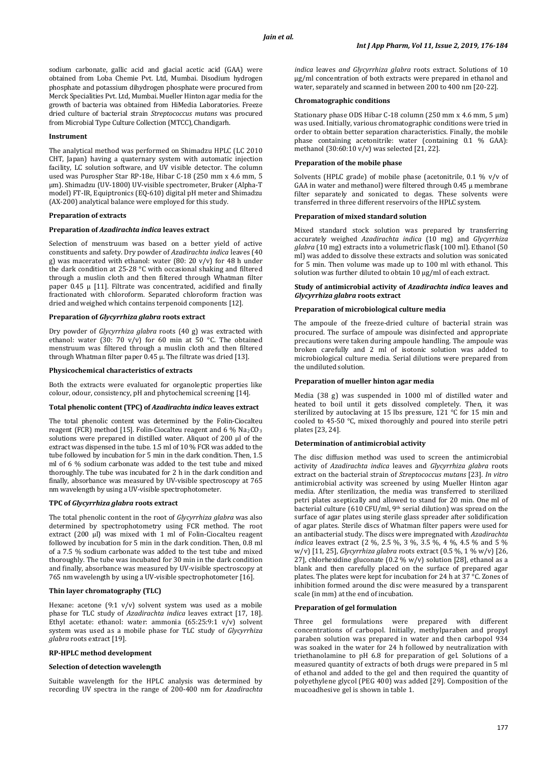sodium carbonate, gallic acid and glacial acetic acid (GAA) were obtained from Loba Chemie Pvt. Ltd, Mumbai. Disodium hydrogen phosphate and potassium dihydrogen phosphate were procured from Merck Specialities Pvt. Ltd, Mumbai. Mueller Hinton agar media for the growth of bacteria was obtained from HiMedia Laboratories. Freeze dried culture of bacterial strain *Streptococcus mutans* was procured from Microbial Type Culture Collection (MTCC), Chandigarh.

#### **Instrument**

The analytical method was performed on Shimadzu HPLC (LC 2010 CHT, Japan) having a quaternary system with automatic injection facility, LC solution software, and UV visible detector. The column used was Purospher Star RP-18e, Hibar C-18 (250 mm x 4.6 mm, 5 µm). Shimadzu (UV-1800) UV-visible spectrometer, Bruker (Alpha-T model) FT-IR, Equiptronics (EQ-610) digital pH meter and Shimadzu (AX-200) analytical balance were employed for this study.

#### **Preparation of extracts**

#### **Preparation of** *Azadirachta indica* **leaves extract**

Selection of menstruum was based on a better yield of active constituents and safety. Dry powder of *Azadirachta indica* leaves (40 g) was macerated with ethanol: water (80: 20 v/v) for 48 h under the dark condition at 25-28 °C with occasional shaking and filtered through a muslin cloth and then filtered through Whatman filter paper 0.45 μ [11]. Filtrate was concentrated, acidified and finally fractionated with chloroform. Separated chloroform fraction was dried and weighed which contains terpenoid components [12].

#### **Preparation of** *Glycyrrhiza glabra* **roots extract**

Dry powder of *Glycyrrhiza glabra* roots (40 g) was extracted with ethanol: water (30: 70 v/v) for 60 min at 50 °C. The obtained menstruum was filtered through a muslin cloth and then filtered through Whatman filter paper 0.45 μ. The filtrate was dried [13].

#### **Physicochemical characteristics of extracts**

Both the extracts were evaluated for organoleptic properties like colour, odour, consistency, pH and phytochemical screening [14].

#### **Total phenolic content (TPC) of** *Azadirachta indica* **leaves extract**

The total phenolic content was determined by the Folin-Ciocalteu reagent (FCR) method [15]. Folin-Ciocalteu reagent and 6 % Na2CO<sub>3</sub> solutions were prepared in distilled water. Aliquot of 200 µl of the extract was dispensed in the tube. 1.5 ml of 10 % FCR was added to the tube followed by incubation for 5 min in the dark condition. Then, 1.5 ml of 6 % sodium carbonate was added to the test tube and mixed thoroughly. The tube was incubated for 2 h in the dark condition and finally, absorbance was measured by UV-visible spectroscopy at 765 nm wavelength by using a UV-visible spectrophotometer.

#### **TPC of** *Glycyrrhiza glabra* **roots extract**

The total phenolic content in the root of *Glycyrrhiza glabra* was also determined by spectrophotometry using FCR method. The root extract (200 µl) was mixed with 1 ml of Folin-Ciocalteu reagent followed by incubation for 5 min in the dark condition. Then, 0.8 ml of a 7.5 % sodium carbonate was added to the test tube and mixed thoroughly. The tube was incubated for 30 min in the dark condition and finally, absorbance was measured by UV-visible spectroscopy at 765 nm wavelength by using a UV-visible spectrophotometer [16].

# **Thin layer chromatography (TLC)**

Hexane: acetone (9:1 v/v) solvent system was used as a mobile phase for TLC study of *Azadirachta indica* leaves extract [17, 18]. Ethyl acetate: ethanol: water: ammonia (65:25:9:1 v/v) solvent system was used as a mobile phase for TLC study of *Glycyrrhiza glabra* roots extract [19].

### **RP-HPLC method development**

### **Selection of detection wavelength**

Suitable wavelength for the HPLC analysis was determined by recording UV spectra in the range of 200-400 nm for *Azadirachta*  *indica* leaves *and Glycyrrhiza glabra* roots extract. Solutions of 10 μg/ml concentration of both extracts were prepared in ethanol and water, separately and scanned in between 200 to 400 nm [20-22].

#### **Chromatographic conditions**

Stationary phase ODS Hibar C-18 column (250 mm x 4.6 mm, 5 µm) was used. Initially, various chromatographic conditions were tried in order to obtain better separation characteristics. Finally, the mobile phase containing acetonitrile: water (containing 0.1 % GAA): methanol  $(30:60:10 \text{ v/v})$  was selected  $[21, 22]$ .

# **Preparation of the mobile phase**

Solvents (HPLC grade) of mobile phase (acetonitrile, 0.1 % v/v of GAA in water and methanol) were filtered through 0.45 µ membrane filter separately and sonicated to degas. These solvents were transferred in three different reservoirs of the HPLC system.

#### **Preparation of mixed standard solution**

Mixed standard stock solution was prepared by transferring accurately weighed *Azadirachta indica* (10 mg) and *Glycyrrhiza glabra* (10 mg) extracts into a volumetric flask (100 ml). Ethanol (50 ml) was added to dissolve these extracts and solution was sonicated for 5 min. Then volume was made up to 100 ml with ethanol. This solution was further diluted to obtain 10 μg/ml of each extract.

#### **Study of antimicrobial activity of** *Azadirachta indica* **leaves and**  *Glycyrrhiza glabra* **roots extract**

# **Preparation of microbiological culture media**

The ampoule of the freeze-dried culture of bacterial strain was procured. The surface of ampoule was disinfected and appropriate precautions were taken during ampoule handling. The ampoule was broken carefully and 2 ml of isotonic solution was added to microbiological culture media. Serial dilutions were prepared from the undiluted solution.

#### **Preparation of mueller hinton agar media**

Media (38 g) was suspended in 1000 ml of distilled water and heated to boil until it gets dissolved completely. Then, it was sterilized by autoclaving at 15 lbs pressure, 121 °C for 15 min and cooled to 45-50 °C, mixed thoroughly and poured into sterile petri plates [23, 24].

### **Determination of antimicrobial activity**

The disc diffusion method was used to screen the antimicrobial activity of *Azadirachta indica* leaves and *Glycyrrhiza glabra* roots extract on the bacterial strain of *Streptococcus mutans* [23]. *In vitro* antimicrobial activity was screened by using Mueller Hinton agar media. After sterilization, the media was transferred to sterilized petri plates aseptically and allowed to stand for 20 min. One ml of bacterial culture (610  $CFU/ml$ , 9<sup>th</sup> serial dilution) was spread on the surface of agar plates using sterile glass spreader after solidification of agar plates. Sterile discs of Whatman filter papers were used for an antibacterial study. The discs were impregnated with *Azadirachta indica* leaves extract (2 %, 2.5 %, 3 %, 3.5 %, 4 %, 4.5 % and 5 % w/v) [11, 25], *Glycyrrhiza glabra* roots extract (0.5 %, 1 % w/v) [26, 27], chlorhexidine gluconate (0.2 % w/v) solution [28], ethanol as a blank and then carefully placed on the surface of prepared agar plates. The plates were kept for incubation for 24 h at 37 °C. Zones of inhibition formed around the disc were measured by a transparent scale (in mm) at the end of incubation.

#### **Preparation of gel formulation**

Three gel formulations were prepared with different concentrations of carbopol. Initially, methylparaben and propyl paraben solution was prepared in water and then carbopol 934 was soaked in the water for 24 h followed by neutralization with triethanolamine to pH 6.8 for preparation of gel. Solutions of a measured quantity of extracts of both drugs were prepared in 5 ml of ethanol and added to the gel and then required the quantity of polyethylene glycol (PEG 400) was added [29]. Composition of the mucoadhesive gel is shown in table 1.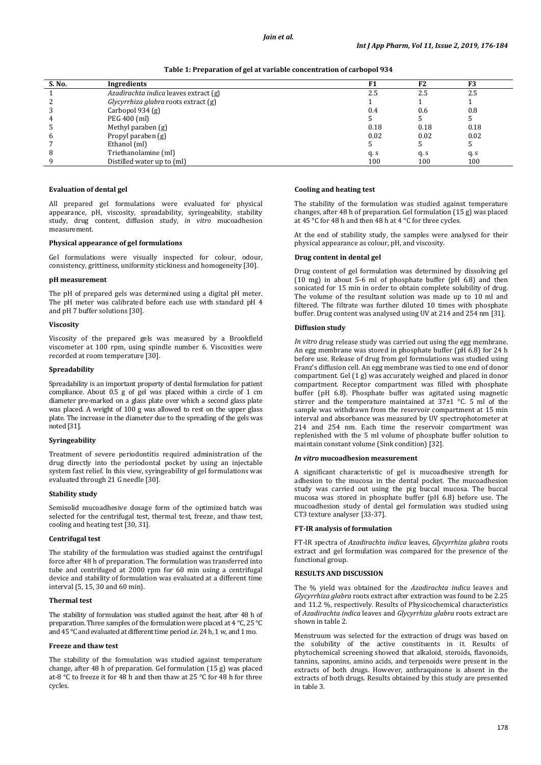#### *Jain et al.*

**Table 1: Preparation of gel at variable concentration of carbopol 934**

| S. No. | Ingredients                           | F <sub>1</sub> | F2   | F3   |
|--------|---------------------------------------|----------------|------|------|
|        | Azadirachta indica leaves extract (g) | 2.5            | 2.5  | 2.5  |
|        | Glycyrrhiza glabra roots extract (g)  |                |      |      |
| 3      | Carbopol 934 $(g)$                    | 0.4            | 0.6  | 0.8  |
| 4      | PEG 400 (ml)                          |                |      |      |
| ć      | Methyl paraben (g)                    | 0.18           | 0.18 | 0.18 |
| 6      | Propyl paraben (g)                    | 0.02           | 0.02 | 0.02 |
|        | Ethanol (ml)                          |                |      |      |
| 8      | Triethanolamine (ml)                  | q. s           | q. s | q.s  |
|        | Distilled water up to (ml)            | 100            | 100  | 100  |

#### **Evaluation of dental gel**

All prepared gel formulations were evaluated for physical appearance, pH, viscosity, spreadability, syringeability, stability study, drug content, diffusion study, *in vitro* mucoadhesion measurement.

#### **Physical appearance of gel formulations**

Gel formulations were visually inspected for colour, odour, consistency, grittiness, uniformity stickiness and homogeneity [30].

#### **pH measurement**

The pH of prepared gels was determined using a digital pH meter. The pH meter was calibrated before each use with standard pH 4 and pH 7 buffer solutions [30].

#### **Viscosity**

Viscosity of the prepared gels was measured by a Brookfield viscometer at 100 rpm, using spindle number 6. Viscosities were recorded at room temperature [30].

#### **Spreadability**

Spreadability is an important property of dental formulation for patient compliance. About 0.5 g of gel was placed within a circle of 1 cm diameter pre-marked on a glass plate over which a second glass plate was placed. A weight of 100 g was allowed to rest on the upper glass plate. The increase in the diameter due to the spreading of the gels was noted [31].

#### **Syringeability**

Treatment of severe periodontitis required administration of the drug directly into the periodontal pocket by using an injectable system fast relief. In this view, syringeability of gel formulations was evaluated through 21 G needle [30].

# **Stability study**

Semisolid mucoadhesive dosage form of the optimized batch was selected for the centrifugal test, thermal test, freeze, and thaw test, cooling and heating test [30, 31].

# **Centrifugal test**

The stability of the formulation was studied against the centrifugal force after 48 h of preparation. The formulation was transferred into tube and centrifuged at 2000 rpm for 60 min using a centrifugal device and stability of formulation was evaluated at a different time interval (5, 15, 30 and 60 min).

#### **Thermal test**

The stability of formulation was studied against the heat, after 48 h of preparation. Three samples of the formulation were placed at 4 °C, 25 °C and 45 °C and evaluated at different time period *i.e.* 24 h, 1 w, and 1 mo.

#### **Freeze and thaw test**

The stability of the formulation was studied against temperature change, after 48 h of preparation. Gel formulation (15 g) was placed at-8 °C to freeze it for 48 h and then thaw at 25 °C for 48 h for three cycles.

#### **Cooling and heating test**

The stability of the formulation was studied against temperature changes, after 48 h of preparation. Gel formulation (15 g) was placed at 45 °C for 48 h and then 48 h at 4 °C for three cycles.

At the end of stability study, the samples were analysed for their physical appearance as colour, pH, and viscosity.

#### **Drug content in dental gel**

Drug content of gel formulation was determined by dissolving gel (10 mg) in about 5-6 ml of phosphate buffer (pH 6.8) and then sonicated for 15 min in order to obtain complete solubility of drug. The volume of the resultant solution was made up to 10 ml and filtered. The filtrate was further diluted 10 times with phosphate buffer. Drug content was analysed using UV at 214 and 254 nm [31].

#### **Diffusion study**

*In vitro* drug release study was carried out using the egg membrane. An egg membrane was stored in phosphate buffer (pH 6.8) for 24 h before use. Release of drug from gel formulations was studied using Franz's diffusion cell. An egg membrane was tied to one end of donor compartment. Gel (1 g) was accurately weighed and placed in donor compartment. Receptor compartment was filled with phosphate buffer (pH 6.8). Phosphate buffer was agitated using magnetic stirrer and the temperature maintained at  $37\pm1$  °C. 5 ml of the sample was withdrawn from the reservoir compartment at 15 min interval and absorbance was measured by UV spectrophotometer at 214 and 254 nm. Each time the reservoir compartment was replenished with the 5 ml volume of phosphate buffer solution to maintain constant volume (Sink condition) [32].

#### *In vitro* **mucoadhesion measurement**

A significant characteristic of gel is mucoadhesive strength for adhesion to the mucosa in the dental pocket. The mucoadhesion study was carried out using the pig buccal mucosa. The buccal mucosa was stored in phosphate buffer (pH 6.8) before use. The mucoadhesion study of dental gel formulation was studied using CT3 texture analyser [33-37].

#### **FT-IR analysis of formulation**

FT-IR spectra of *Azadirachta indica* leaves, *Glycyrrhiza glabra* roots extract and gel formulation was compared for the presence of the functional group.

# **RESULTS AND DISCUSSION**

The % yield was obtained for the *Azadirachta indica* leaves and *Glycyrrhiza glabra* roots extract after extraction was found to be 2.25 and 11.2 %, respectively. Results of Physicochemical characteristics of *Azadirachta indica* leaves and *Glycyrrhiza glabra* roots extract are shown in table 2.

Menstruum was selected for the extraction of drugs was based on the solubility of the active constituents in it. Results of phytochemical screening showed that alkaloid, steroids, flavonoids, tannins, saponins, amino acids, and terpenoids were present in the extracts of both drugs. However, anthraquinone is absent in the extracts of both drugs. Results obtained by this study are presented in table 3.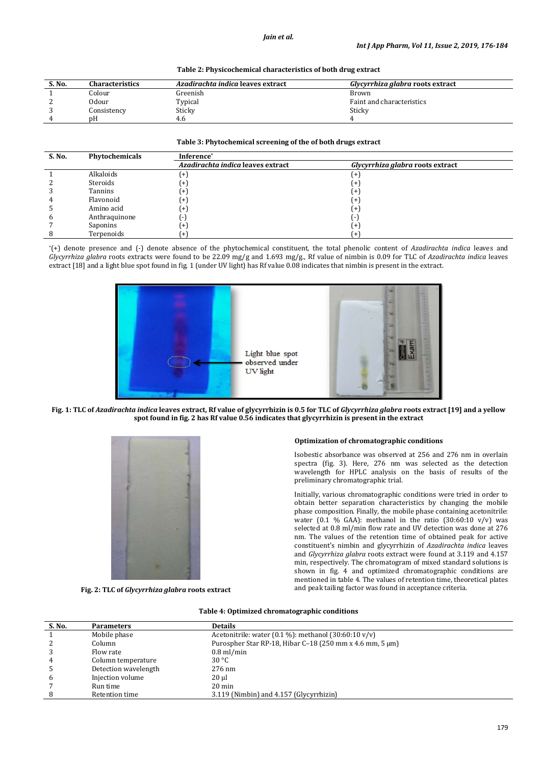|  | Table 2: Physicochemical characteristics of both drug extract |  |
|--|---------------------------------------------------------------|--|
|  |                                                               |  |

| S. No. | <b>Characteristics</b> | <i>Azadirachta indica</i> leaves extract | Glycyrrhiza glabra roots extract |
|--------|------------------------|------------------------------------------|----------------------------------|
|        | Colour                 | Greenish                                 | Brown                            |
|        | 0dour                  | Typical                                  | Faint and characteristics        |
|        | Consistency            | Sticky                                   | Sticky                           |
| 4      | nΗ                     | 4. $\epsilon$                            |                                  |

#### **Table 3: Phytochemical screening of the of both drugs extract**

| S. No. | Phytochemicals | Inference*                        |                                  |
|--------|----------------|-----------------------------------|----------------------------------|
|        |                | Azadirachta indica leaves extract | Glycyrrhiza glabra roots extract |
|        | Alkaloids      | $+$ ]                             | +                                |
|        | Steroids       | $+$ ]                             | $\ddot{}$                        |
|        | Tannins        | $+$                               | +                                |
|        | Flavonoid      | $+$ ]                             | $^{+}$                           |
|        | Amino acid     | $+$ ]                             | $\ddot{}$                        |
| h      | Anthraquinone  | ÷                                 | $\overline{\phantom{a}}$         |
|        | Saponins       | $+$                               | $^{+}$                           |
|        | Terpenoids     | $+$                               |                                  |

\*(+) denote presence and (-) denote absence of the phytochemical constituent, the total phenolic content of *Azadirachta indica* leaves and *Glycyrrhiza glabra* roots extracts were found to be 22.09 mg/g and 1.693 mg/g., Rf value of nimbin is 0.09 for TLC of *Azadirachta indica* leaves extract [18] and a light blue spot found in fig. 1 (under UV light) has Rf value 0.08 indicates that nimbin is present in the extract.



**Fig. 1: TLC of** *Azadirachta indica* **leaves extract, Rf value of glycyrrhizin is 0.5 for TLC of** *Glycyrrhiza glabra* **roots extract [19] and a yellow spot found in fig. 2 has Rf value 0.56 indicates that glycyrrhizin is present in the extract**



**Fig. 2: TLC of** *Glycyrrhiza glabra* **roots extract**

# **Optimization of chromatographic conditions**

Isobestic absorbance was observed at 256 and 276 nm in overlain spectra (fig. 3). Here, 276 nm was selected as the detection wavelength for HPLC analysis on the basis of results of the preliminary chromatographic trial.

Initially, various chromatographic conditions were tried in order to obtain better separation characteristics by changing the mobile phase composition. Finally, the mobile phase containing acetonitrile: water (0.1 % GAA): methanol in the ratio  $(30:60:10 \text{ v/v})$  was selected at 0.8 ml/min flow rate and UV detection was done at 276 nm. The values of the retention time of obtained peak for active constituent's nimbin and glycyrrhizin of *Azadirachta indica* leaves and *Glycyrrhiza glabra* roots extract were found at 3.119 and 4.157 min, respectively. The chromatogram of mixed standard solutions is shown in fig. 4 and optimized chromatographic conditions are mentioned in table 4. The values of retention time, theoretical plates and peak tailing factor was found in acceptance criteria.

### **Table 4: Optimized chromatographic conditions**

| S. No. | <b>Parameters</b>    | <b>Details</b>                                                   |
|--------|----------------------|------------------------------------------------------------------|
|        | Mobile phase         | Acetonitrile: water $(0.1\%)$ : methanol $(30:60:10\text{ v/v})$ |
| 2      | Column               | Purospher Star RP-18, Hibar C-18 (250 mm x 4.6 mm, 5 $\mu$ m)    |
| 3      | Flow rate            | $0.8$ ml/min                                                     |
| 4      | Column temperature   | 30 °C                                                            |
|        | Detection wavelength | $276$ nm                                                         |
| 6      | Injection volume     | $20 \mu$                                                         |
|        | Run time             | $20 \text{ min}$                                                 |
|        | Retention time       | 3.119 (Nimbin) and 4.157 (Glycyrrhizin)                          |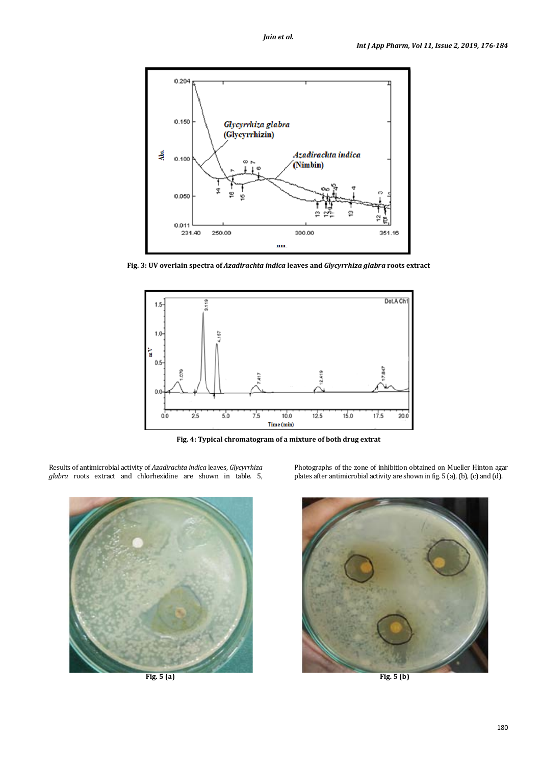

**Fig. 3: UV overlain spectra of** *Azadirachta indica* **leaves and** *Glycyrrhiza glabra* **roots extract**



**Fig. 4: Typical chromatogram of a mixture of both drug extrat**

Results of antimicrobial activity of *Azadirachta indica* leaves, *Glycyrrhiza glabra* roots extract and chlorhexidine are shown in table. 5,

**Fig. 5 (a) Fig. 5 (b)**

Photographs of the zone of inhibition obtained on Mueller Hinton agar plates after antimicrobial activity are shown in fig. 5 (a), (b), (c) and (d).

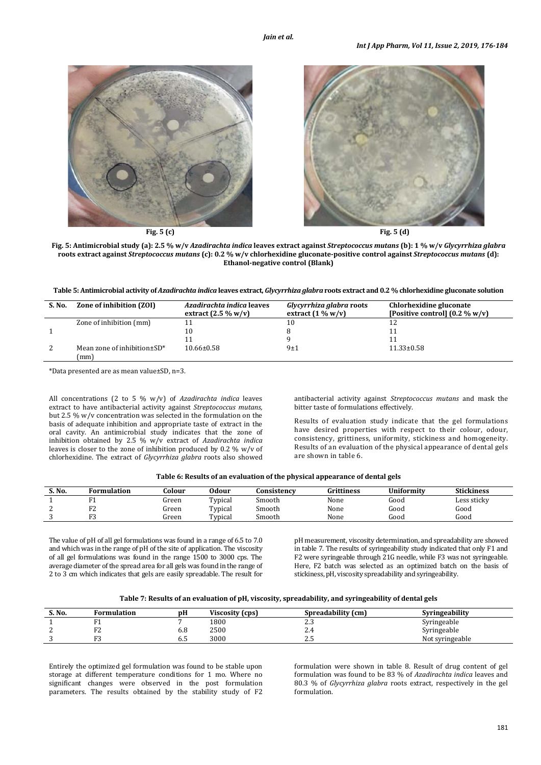

**Fig. 5: Antimicrobial study (a): 2.5 % w/v** *Azadirachta indica* **leaves extract against** *Streptococcus mutans* **(b): 1 % w/v** *Glycyrrhiza glabra* **roots extract against** *Streptococcus mutans* **(c): 0.2 % w/v chlorhexidine gluconate-positive control against** *Streptococcus mutans* **(d): Ethanol-negative control (Blank)**

**Table 5: Antimicrobial activity of** *Azadirachta indica* **leaves extract,** *Glycyrrhiza glabra* **roots extract and 0.2 % chlorhexidine gluconate solution**

| S. No. | Zone of inhibition (ZOI)                   | Azadirachta indica leaves<br>extract $(2.5\% \text{ w/v})$ | Glycyrrhiza glabra roots<br>extract $(1\% w/v)$ | Chlorhexidine gluconate<br>[Positive control] $(0.2 % w/v)$ |
|--------|--------------------------------------------|------------------------------------------------------------|-------------------------------------------------|-------------------------------------------------------------|
|        | Zone of inhibition (mm)                    |                                                            |                                                 |                                                             |
|        |                                            | 10                                                         |                                                 |                                                             |
|        |                                            |                                                            |                                                 |                                                             |
|        | Mean zone of inhibition $\pm SD^*$<br>(mm) | $10.66 \pm 0.58$                                           | 9±1                                             | $11.33 \pm 0.58$                                            |

\*Data presented are as mean value±SD, n=3.

All concentrations (2 to 5 % w/v) of *Azadirachta indica* leaves extract to have antibacterial activity against *Streptococcus mutans,*  but 2.5 % w/v concentration was selected in the formulation on the basis of adequate inhibition and appropriate taste of extract in the oral cavity. An antimicrobial study indicates that the zone of inhibition obtained by 2.5 % w/v extract of *Azadirachta indica*  leaves is closer to the zone of inhibition produced by 0.2 % w/v of chlorhexidine. The extract of *Glycyrrhiza glabra* roots also showed

antibacterial activity against *Streptococcus mutans* and mask the bitter taste of formulations effectively.

Results of evaluation study indicate that the gel formulations have desired properties with respect to their colour, odour, consistency, grittiness, uniformity, stickiness and homogeneity. Results of an evaluation of the physical appearance of dental gels are shown in table 6.

|  | Table 6: Results of an evaluation of the physical appearance of dental gels |  |  |  |
|--|-----------------------------------------------------------------------------|--|--|--|
|--|-----------------------------------------------------------------------------|--|--|--|

| S. No. | <sup>5</sup> ormulation    | Colour | <b>Odour</b> | Consistencv | Grittiness | <b>Uniformity</b> | <b>Stickiness</b> |
|--------|----------------------------|--------|--------------|-------------|------------|-------------------|-------------------|
|        |                            | hreen  | Typical      | Smooth      | None       | Good              | Less sticky       |
|        | $\mathbf{r}$<br>. <u>.</u> | Green  | Typical      | Smooth      | None       | Good              | $\sim$<br>Good    |
|        | $\mathbf{r}$               | Green  | Typical      | Smooth      | None       | Good              | $\sim$<br>Good    |

The value of pH of all gel formulations was found in a range of 6.5 to 7.0 and which was in the range of pH of the site of application. The viscosity of all gel formulations was found in the range 1500 to 3000 cps. The average diameter of the spread area for all gels was found in the range of 2 to 3 cm which indicates that gels are easily spreadable. The result for pH measurement, viscosity determination, and spreadability are showed in table 7. The results of syringeability study indicated that only F1 and F2 were syringeable through 21G needle, while F3 was not syringeable. Here, F2 batch was selected as an optimized batch on the basis of stickiness, pH, viscosity spreadability and syringeability.

|  | Table 7: Results of an evaluation of pH, viscosity, spreadability, and syringeability of dental gels |  |  |  |  |
|--|------------------------------------------------------------------------------------------------------|--|--|--|--|
|--|------------------------------------------------------------------------------------------------------|--|--|--|--|

| S. No. | Formulation         | рH  | Viscosity (cps) | Spreadability (cm) | Svringeability  |
|--------|---------------------|-----|-----------------|--------------------|-----------------|
|        | . .                 |     | 1800            | ن د سک             | Syringeable     |
|        | $\mathbf{E}$<br>ے ا | o.o | 2500            | Z.4                | Syringeable     |
|        | $\mathbf{E}$<br>ີ   | v.J | 3000            | ل د ک              | Not syringeable |

Entirely the optimized gel formulation was found to be stable upon storage at different temperature conditions for 1 mo. Where no significant changes were observed in the post formulation parameters. The results obtained by the stability study of F2 formulation were shown in table 8. Result of drug content of gel formulation was found to be 83 % of *Azadirachta indica* leaves and 80.3 % of *Glycyrrhiza glabra* roots extract, respectively in the gel formulation.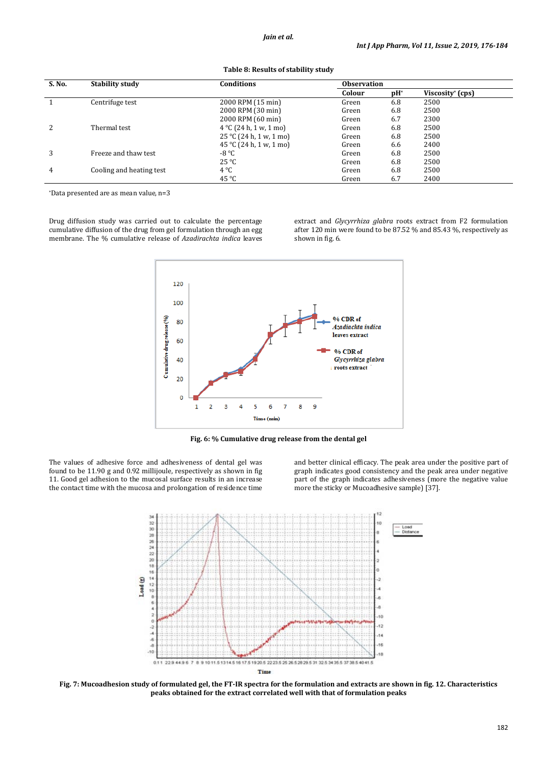| S. No. | <b>Stability study</b>   | Conditions                       | <b>Observation</b> |        |                              |  |
|--------|--------------------------|----------------------------------|--------------------|--------|------------------------------|--|
|        |                          |                                  | Colour             | $pH^*$ | Viscosity <sup>*</sup> (cps) |  |
|        | Centrifuge test          | 2000 RPM (15 min)                | Green              | 6.8    | 2500                         |  |
|        |                          | 2000 RPM (30 min)                | Green              | 6.8    | 2500                         |  |
|        |                          | 2000 RPM (60 min)                | Green              | 6.7    | 2300                         |  |
| 2      | Thermal test             | $4^{\circ}$ C (24 h, 1 w, 1 mo)  | Green              | 6.8    | 2500                         |  |
|        |                          | $25^{\circ}$ C (24 h, 1 w, 1 mo) | Green              | 6.8    | 2500                         |  |
|        |                          | 45 °C (24 h, 1 w, 1 mo)          | Green              | 6.6    | 2400                         |  |
| 3      | Freeze and thaw test     | $-8 °C$                          | Green              | 6.8    | 2500                         |  |
|        |                          | $25^{\circ}C$                    | Green              | 6.8    | 2500                         |  |
| 4      | Cooling and heating test | $4^{\circ}C$                     | Green              | 6.8    | 2500                         |  |
|        |                          | $45^{\circ}$ C                   | Green              | 6.7    | 2400                         |  |

**Table 8: Results of stability study**

\*Data presented are as mean value, n=3

Drug diffusion study was carried out to calculate the percentage cumulative diffusion of the drug from gel formulation through an egg membrane. The % cumulative release of *Azadirachta indica* leaves extract and *Glycyrrhiza glabra* roots extract from F2 formulation after 120 min were found to be 87.52 % and 85.43 %, respectively as shown in fig. 6.



**Fig. 6: % Cumulative drug release from the dental gel**

The values of adhesive force and adhesiveness of dental gel was found to be 11.90 g and 0.92 millijoule, respectively as shown in fig 11. Good gel adhesion to the mucosal surface results in an increase the contact time with the mucosa and prolongation of residence time and better clinical efficacy. The peak area under the positive part of graph indicates good consistency and the peak area under negative part of the graph indicates adhesiveness (more the negative value more the sticky or Mucoadhesive sample) [37].



**Fig. 7: Mucoadhesion study of formulated gel, the FT-IR spectra for the formulation and extracts are shown in fig. 12. Characteristics peaks obtained for the extract correlated well with that of formulation peaks**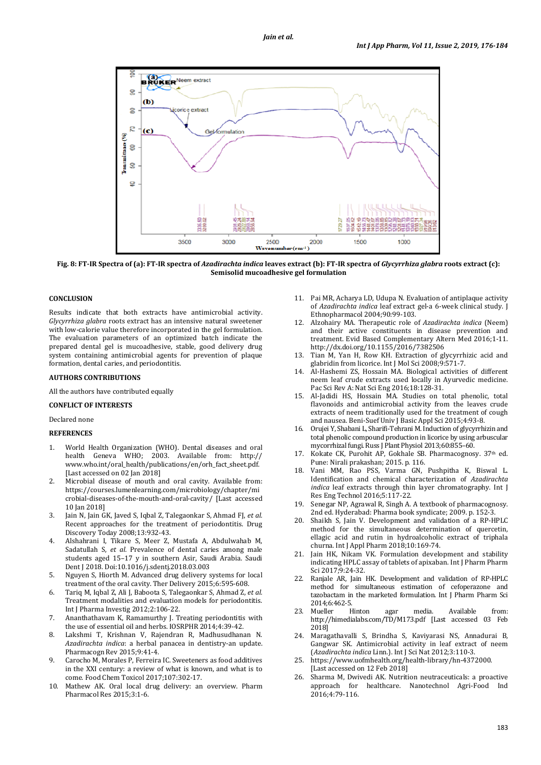

**Fig. 8: FT-IR Spectra of (a): FT-IR spectra of** *Azadirachta indica* **leaves extract (b): FT-IR spectra of** *Glycyrrhiza glabra* **roots extract (c): Semisolid mucoadhesive gel formulation**

# **CONCLUSION**

Results indicate that both extracts have antimicrobial activity. *Glycyrrhiza glabra* roots extract has an intensive natural sweetener with low-calorie value therefore incorporated in the gel formulation. The evaluation parameters of an optimized batch indicate the prepared dental gel is mucoadhesive, stable, good delivery drug system containing antimicrobial agents for prevention of plaque formation, dental caries, and periodontitis.

# **AUTHORS CONTRIBUTIONS**

All the authors have contributed equally

# **CONFLICT OF INTERESTS**

Declared none

# **REFERENCES**

- 1. World Health Organization (WHO). Dental diseases and oral health Geneva WHO; 2003. Available from: http:// www.who.int/oral\_health/publications/en/orh\_fact\_sheet.pdf. [Last accessed on 02 Jan 2018]
- 2. Microbial disease of mouth and oral cavity. Available from: https://courses.lumenlearning.com/microbiology/chapter/mi crobial-diseases-of-the-mouth-and-oral-cavity/ [Last accessed 10 Jan 2018]
- 3. Jain N, Jain GK, Javed S, Iqbal Z, Talegaonkar S, Ahmad FJ, *et al.* Recent approaches for the treatment of periodontitis. Drug Discovery Today 2008;13:932-43.
- 4. Alshahrani I, Tikare S, Meer Z, Mustafa A, Abdulwahab M, Sadatullah S, *et al.* Prevalence of dental caries among male students aged 15–17 y in southern Asir, Saudi Arabia. Saudi Dent J 2018. Doi:10.1016/j.sdentj.2018.03.003
- 5. Nguyen S, Hiorth M. Advanced drug delivery systems for local treatment of the oral cavity. Ther Delivery 2015;6:595-608.
- 6. Tariq M, Iqbal Z, Ali J, Baboota S, Talegaonkar S, Ahmad Z, *et al.* Treatment modalities and evaluation models for periodontitis. Int J Pharma Investig 2012;2:106-22.
- 7. Ananthathavam K, Ramamurthy J. Treating periodontitis with the use of essential oil and herbs. IOSRPHR 2014;4:39-42.
- 8. Lakshmi T, Krishnan V, Rajendran R, Madhusudhanan N. *Azadirachta indica*: a herbal panacea in dentistry-an update. Pharmacogn Rev 2015;9:41-4.
- 9. Carocho M, Morales P, Ferreira IC. Sweeteners as food additives in the XXI century: a review of what is known, and what is to come. Food Chem Toxicol 2017;107:302-17.
- 10. Mathew AK. Oral local drug delivery: an overview. Pharm Pharmacol Res 2015;3:1-6.
- 11. Pai MR, Acharya LD, Udupa N. Evaluation of antiplaque activity of *Azadirachta indica* leaf extract gel-a 6-week clinical study. J Ethnopharmacol 2004;90:99-103.
- 12. Alzohairy MA. Therapeutic role of *Azadirachta indica* (Neem) and their active constituents in disease prevention and treatment. Evid Based Complementary Altern Med 2016;1-11. http://dx.doi.org/10.1155/2016/7382506
- 13. Tian M, Yan H, Row KH. Extraction of glycyrrhizic acid and glabridin from licorice. Int J Mol Sci 2008;9:571-7.
- 14. Al-Hashemi ZS, Hossain MA. Biological activities of different neem leaf crude extracts used locally in Ayurvedic medicine. Pac Sci Rev A: Nat Sci Eng 2016;18:128-31.
- 15. Al-Jadidi HS, Hossain MA. Studies on total phenolic, total flavonoids and antimicrobial activity from the leaves crude extracts of neem traditionally used for the treatment of cough and nausea. Beni-Suef Univ J Basic Appl Sci 2015;4:93-8.
- 16. Orujei Y, Shabani L, Sharifi-Tehrani M. Induction of glycyrrhizin and total phenolic compound production in licorice by using arbuscular mycorrhizal fungi. Russ J Plant Physiol 2013;60:855–60.
- 17. Kokate CK, Purohit AP, Gokhale SB. Pharmacognosy. 37th ed. Pune: Nirali prakashan; 2015. p. 116.
- 18. Vani MM, Rao PSS, Varma GN, Pushpitha K, Biswal L. Identification and chemical characterization of *Azadirachta indica* leaf extracts through thin layer chromatography. Int J Res Eng Technol 2016;5:117-22.
- 19. Senegar NP, Agrawal R, Singh A. A textbook of pharmacognosy. 2nd ed. Hyderabad: Pharma book syndicate; 2009. p. 152-3.
- 20. Shaikh S, Jain V. Development and validation of a RP-HPLC method for the simultaneous determination of quercetin, ellagic acid and rutin in hydroalcoholic extract of triphala churna. Int J Appl Pharm 2018;10:169-74.
- 21. Jain HK, Nikam VK. Formulation development and stability indicating HPLC assay of tablets of apixaban. Int J Pharm Pharm Sci 2017;9:24-32
- 22. Ranjale AR, Jain HK. Development and validation of RP-HPLC method for simultaneous estimation of cefoperazone and tazobactam in the marketed formulation. Int J Pharm Pharm Sci 2014;6:462-5.
- 23. Mueller Hinton agar media. Available from: http://himedialabs.com/TD/M173.pdf [Last accessed 03 Feb 2018]
- 24. Maragathavalli S, Brindha S, Kaviyarasi NS, Annadurai B, Gangwar SK. Antimicrobial activity in leaf extract of neem (*Azadirachta indica* Linn.). Int J Sci Nat 2012;3:110-3.
- https://www.uofmhealth.org/health-library/hn-4372000. [Last accessed on 12 Feb 2018]
- 26. Sharma M, Dwivedi AK. Nutrition neutraceuticals: a proactive approach for healthcare. Nanotechnol Agri-Food Ind 2016;4:79-116.